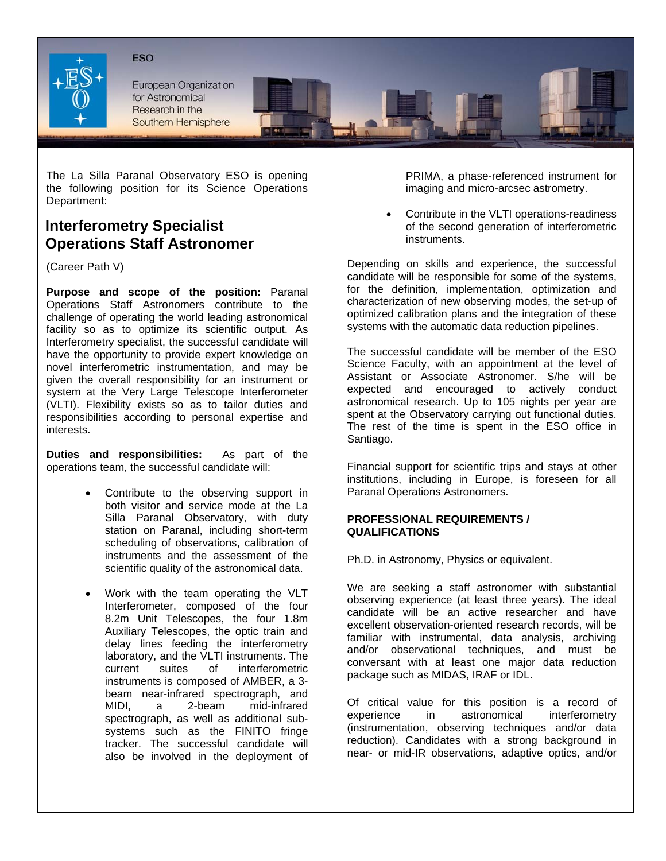



**European Organization** for Astronomical Research in the Southern Hemisphere



## **Interferometry Specialist Operations Staff Astronomer**

(Career Path V)

**Purpose and scope of the position:** Paranal Operations Staff Astronomers contribute to the challenge of operating the world leading astronomical facility so as to optimize its scientific output. As Interferometry specialist, the successful candidate will have the opportunity to provide expert knowledge on novel interferometric instrumentation, and may be given the overall responsibility for an instrument or system at the Very Large Telescope Interferometer (VLTI). Flexibility exists so as to tailor duties and responsibilities according to personal expertise and interests.

**Duties and responsibilities:** As part of the operations team, the successful candidate will:

- Contribute to the observing support in both visitor and service mode at the La Silla Paranal Observatory, with duty station on Paranal, including short-term scheduling of observations, calibration of instruments and the assessment of the scientific quality of the astronomical data.
- Work with the team operating the VLT Interferometer, composed of the four 8.2m Unit Telescopes, the four 1.8m Auxiliary Telescopes, the optic train and delay lines feeding the interferometry laboratory, and the VLTI instruments. The current suites of interferometric instruments is composed of AMBER, a 3 beam near-infrared spectrograph, and MIDI, a 2-beam mid-infrared spectrograph, as well as additional subsystems such as the FINITO fringe tracker. The successful candidate will also be involved in the deployment of

PRIMA, a phase-referenced instrument for imaging and micro-arcsec astrometry.

• Contribute in the VLTI operations-readiness of the second generation of interferometric instruments.

Depending on skills and experience, the successful candidate will be responsible for some of the systems, for the definition, implementation, optimization and characterization of new observing modes, the set-up of optimized calibration plans and the integration of these systems with the automatic data reduction pipelines.

The successful candidate will be member of the ESO Science Faculty, with an appointment at the level of Assistant or Associate Astronomer. S/he will be expected and encouraged to actively conduct astronomical research. Up to 105 nights per year are spent at the Observatory carrying out functional duties. The rest of the time is spent in the ESO office in Santiago.

Financial support for scientific trips and stays at other institutions, including in Europe, is foreseen for all Paranal Operations Astronomers.

## **PROFESSIONAL REQUIREMENTS / QUALIFICATIONS**

Ph.D. in Astronomy, Physics or equivalent.

We are seeking a staff astronomer with substantial observing experience (at least three years). The ideal candidate will be an active researcher and have excellent observation-oriented research records, will be familiar with instrumental, data analysis, archiving and/or observational techniques, and must be conversant with at least one major data reduction package such as MIDAS, IRAF or IDL.

Of critical value for this position is a record of experience in astronomical interferometry (instrumentation, observing techniques and/or data reduction). Candidates with a strong background in near- or mid-IR observations, adaptive optics, and/or